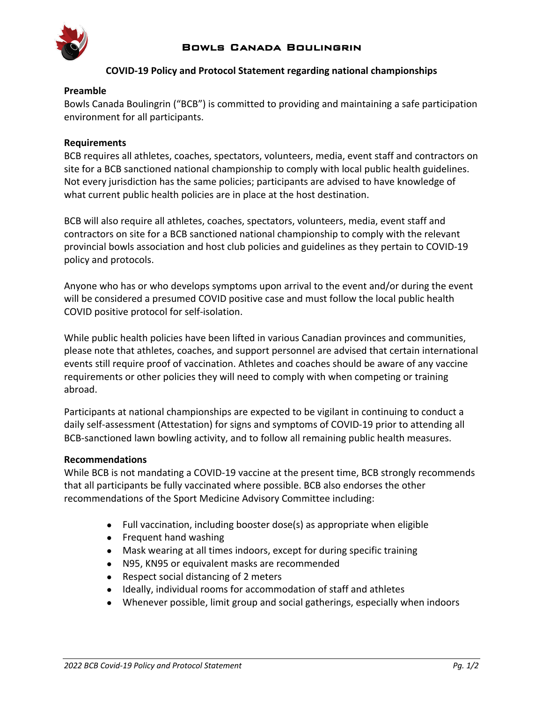

# **COVID-19 Policy and Protocol Statement regarding national championships**

#### **Preamble**

Bowls Canada Boulingrin ("BCB") is committed to providing and maintaining a safe participation environment for all participants.

## **Requirements**

BCB requires all athletes, coaches, spectators, volunteers, media, event staff and contractors on site for a BCB sanctioned national championship to comply with local public health guidelines. Not every jurisdiction has the same policies; participants are advised to have knowledge of what current public health policies are in place at the host destination.

BCB will also require all athletes, coaches, spectators, volunteers, media, event staff and contractors on site for a BCB sanctioned national championship to comply with the relevant provincial bowls association and host club policies and guidelines as they pertain to COVID-19 policy and protocols.

Anyone who has or who develops symptoms upon arrival to the event and/or during the event will be considered a presumed COVID positive case and must follow the local public health COVID positive protocol for self-isolation.

While public health policies have been lifted in various Canadian provinces and communities, please note that athletes, coaches, and support personnel are advised that certain international events still require proof of vaccination. Athletes and coaches should be aware of any vaccine requirements or other policies they will need to comply with when competing or training abroad.

Participants at national championships are expected to be vigilant in continuing to conduct a daily self-assessment (Attestation) for signs and symptoms of COVID-19 prior to attending all BCB-sanctioned lawn bowling activity, and to follow all remaining public health measures.

#### **Recommendations**

While BCB is not mandating a COVID-19 vaccine at the present time, BCB strongly recommends that all participants be fully vaccinated where possible. BCB also endorses the other recommendations of the Sport Medicine Advisory Committee including:

- Full vaccination, including booster dose(s) as appropriate when eligible
- Frequent hand washing
- Mask wearing at all times indoors, except for during specific training
- N95, KN95 or equivalent masks are recommended
- Respect social distancing of 2 meters
- Ideally, individual rooms for accommodation of staff and athletes
- Whenever possible, limit group and social gatherings, especially when indoors